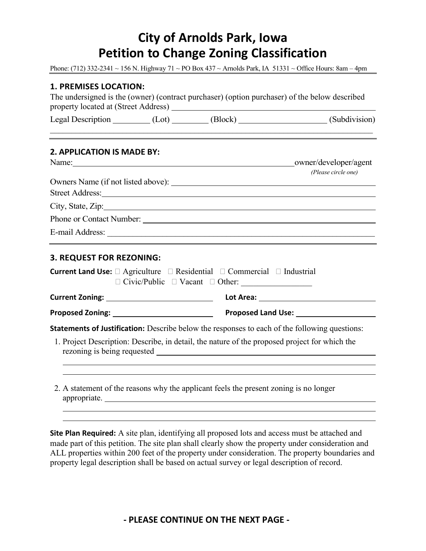# **City of Arnolds Park, Iowa Petition to Change Zoning Classification**

Phone: (712) 332-2341 ~ 156 N. Highway 71 ~ PO Box 437 ~ Arnolds Park, IA 51331 ~ Office Hours: 8am – 4pm

## **1. PREMISES LOCATION:**

| The undersigned is the (owner) (contract purchaser) (option purchaser) of the below described |  |
|-----------------------------------------------------------------------------------------------|--|
| property located at (Street Address)                                                          |  |

Legal Description (Lot) (Block) (Subdivision)

## **2. APPLICATION IS MADE BY:**

| Name:<br><u> 1989 - John Stein, Amerikaansk politiker (</u> | owner/developer/agent |  |  |
|-------------------------------------------------------------|-----------------------|--|--|
|                                                             | (Please circle one)   |  |  |
| Owners Name (if not listed above):                          |                       |  |  |
| Street Address:                                             |                       |  |  |
| City, State, Zip: 2000                                      |                       |  |  |
| Phone or Contact Number:                                    |                       |  |  |
| E-mail Address:                                             |                       |  |  |
|                                                             |                       |  |  |

#### **3. REQUEST FOR REZONING:**

| <b>Current Land Use:</b> $\Box$ Agriculture $\Box$ Residential $\Box$ Commercial $\Box$ Industrial   | $\Box$ Civic/Public $\Box$ Vacant $\Box$ Other:                                                                                                                                                                                |  |  |  |
|------------------------------------------------------------------------------------------------------|--------------------------------------------------------------------------------------------------------------------------------------------------------------------------------------------------------------------------------|--|--|--|
|                                                                                                      |                                                                                                                                                                                                                                |  |  |  |
|                                                                                                      | Proposed Land Use: Network and Separate Separate Separate Separate Separate Separate Separate Separate Separate Separate Separate Separate Separate Separate Separate Separate Separate Separate Separate Separate Separate Se |  |  |  |
| <b>Statements of Justification:</b> Describe below the responses to each of the following questions: |                                                                                                                                                                                                                                |  |  |  |
| 1. Project Description: Describe, in detail, the nature of the proposed project for which the        |                                                                                                                                                                                                                                |  |  |  |
|                                                                                                      |                                                                                                                                                                                                                                |  |  |  |

2. A statement of the reasons why the applicant feels the present zoning is no longer appropriate.

**Site Plan Required:** A site plan, identifying all proposed lots and access must be attached and made part of this petition. The site plan shall clearly show the property under consideration and ALL properties within 200 feet of the property under consideration. The property boundaries and property legal description shall be based on actual survey or legal description of record.